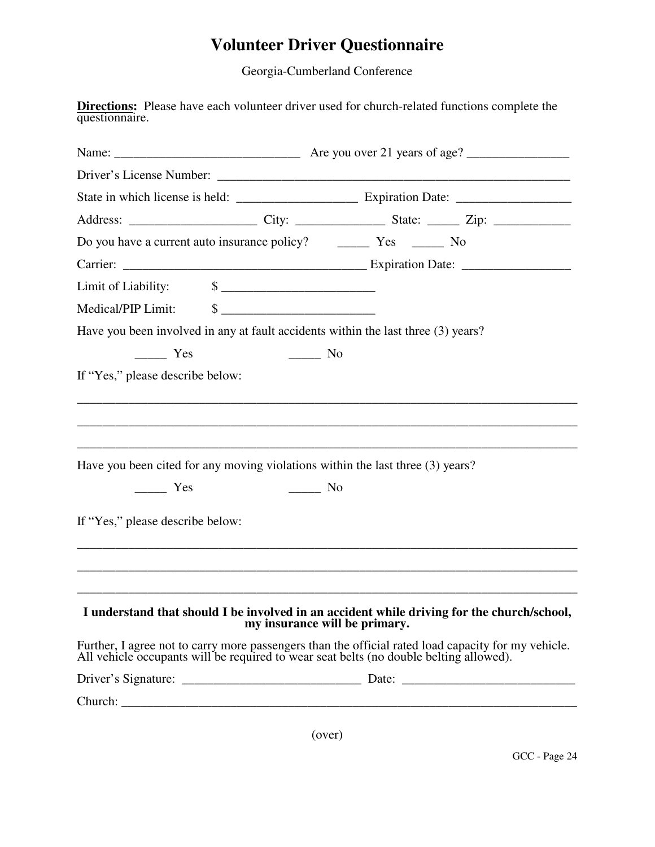## **Volunteer Driver Questionnaire**

Georgia-Cumberland Conference

**Directions:** Please have each volunteer driver used for church-related functions complete the questionnaire.

|                                                         | Driver's License Number: University of the University of the University of the University of the University of the University of the University of the University of the University of the University of the University of the |
|---------------------------------------------------------|--------------------------------------------------------------------------------------------------------------------------------------------------------------------------------------------------------------------------------|
|                                                         |                                                                                                                                                                                                                                |
|                                                         |                                                                                                                                                                                                                                |
|                                                         |                                                                                                                                                                                                                                |
|                                                         |                                                                                                                                                                                                                                |
|                                                         |                                                                                                                                                                                                                                |
| Medical/PIP Limit: \$                                   |                                                                                                                                                                                                                                |
|                                                         | Have you been involved in any at fault accidents within the last three (3) years?                                                                                                                                              |
| Yes                                                     | $\frac{1}{\sqrt{1-\frac{1}{2}}}$ No                                                                                                                                                                                            |
| If "Yes," please describe below:                        |                                                                                                                                                                                                                                |
| $\frac{\ }{\ }$ Yes<br>If "Yes," please describe below: | Have you been cited for any moving violations within the last three (3) years?<br>No.                                                                                                                                          |
|                                                         |                                                                                                                                                                                                                                |
|                                                         | I understand that should I be involved in an accident while driving for the church/school,<br>my insurance will be primary.                                                                                                    |
|                                                         | Further, I agree not to carry more passengers than the official rated load capacity for my vehicle.<br>All vehicle occupants will be required to wear seat belts (no double belting allowed).                                  |
|                                                         |                                                                                                                                                                                                                                |
|                                                         |                                                                                                                                                                                                                                |
|                                                         |                                                                                                                                                                                                                                |

(over)